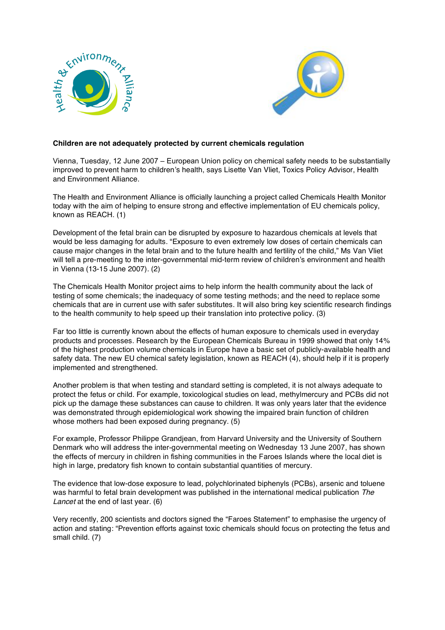



## **Children are not adequately protected by current chemicals regulation**

Vienna, Tuesday, 12 June 2007 – European Union policy on chemical safety needs to be substantially improved to prevent harm to children's health, says Lisette Van Vliet, Toxics Policy Advisor, Health and Environment Alliance.

The Health and Environment Alliance is officially launching a project called Chemicals Health Monitor today with the aim of helping to ensure strong and effective implementation of EU chemicals policy, known as REACH. (1)

Development of the fetal brain can be disrupted by exposure to hazardous chemicals at levels that would be less damaging for adults. "Exposure to even extremely low doses of certain chemicals can cause major changes in the fetal brain and to the future health and fertility of the child," Ms Van Vliet will tell a pre-meeting to the inter-governmental mid-term review of children's environment and health in Vienna (13-15 June 2007). (2)

The Chemicals Health Monitor project aims to help inform the health community about the lack of testing of some chemicals; the inadequacy of some testing methods; and the need to replace some chemicals that are in current use with safer substitutes. It will also bring key scientific research findings to the health community to help speed up their translation into protective policy. (3)

Far too little is currently known about the effects of human exposure to chemicals used in everyday products and processes. Research by the European Chemicals Bureau in 1999 showed that only 14% of the highest production volume chemicals in Europe have a basic set of publicly-available health and safety data. The new EU chemical safety legislation, known as REACH (4), should help if it is properly implemented and strengthened.

Another problem is that when testing and standard setting is completed, it is not always adequate to protect the fetus or child. For example, toxicological studies on lead, methylmercury and PCBs did not pick up the damage these substances can cause to children. It was only years later that the evidence was demonstrated through epidemiological work showing the impaired brain function of children whose mothers had been exposed during pregnancy. (5)

For example, Professor Philippe Grandjean, from Harvard University and the University of Southern Denmark who will address the inter-governmental meeting on Wednesday 13 June 2007, has shown the effects of mercury in children in fishing communities in the Faroes Islands where the local diet is high in large, predatory fish known to contain substantial quantities of mercury.

The evidence that low-dose exposure to lead, polychlorinated biphenyls (PCBs), arsenic and toluene was harmful to fetal brain development was published in the international medical publication The Lancet at the end of last year. (6)

Very recently, 200 scientists and doctors signed the "Faroes Statement" to emphasise the urgency of action and stating: "Prevention efforts against toxic chemicals should focus on protecting the fetus and small child. (7)